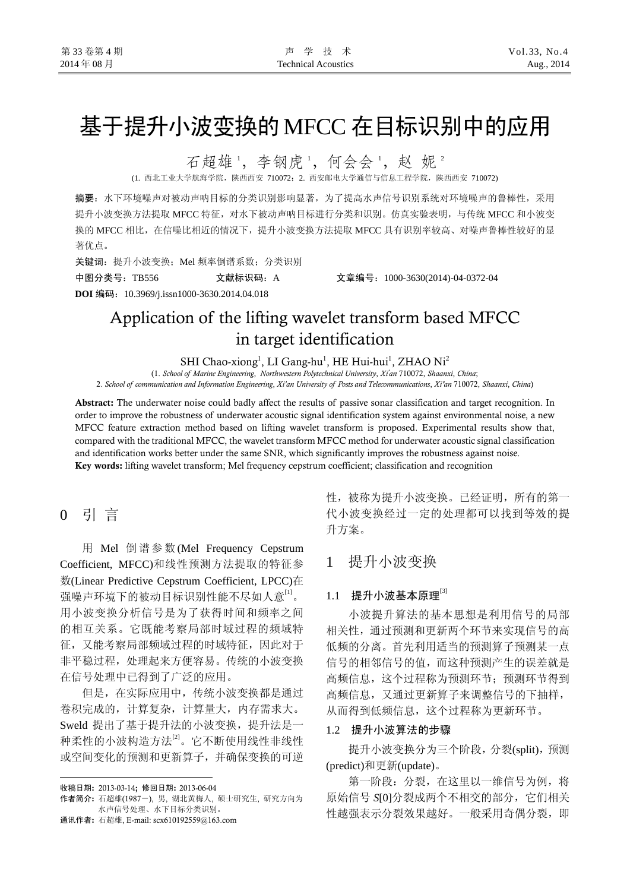# 基于提升小波变换的MFCC 在目标识别中的应用

石超雄',李钢虎',何会会',赵妮'

(1. 西北工业大学航海学院,陕西西安 710072;2. 西安邮电大学通信与信息工程学院,陕西西安 710072)

摘要:水下环境噪声对被动声呐目标的分类识别影响显著,为了提高水声信号识别系统对环境噪声的鲁棒性,采用 提升小波变换方法提取 MFCC 特征,对水下被动声呐目标进行分类和识别。仿真实验表明,与传统 MFCC 和小波变 换的 MFCC 相比,在信噪比相近的情况下,提升小波变换方法提取 MFCC 具有识别率较高、对噪声鲁棒性较好的显 著优点。

关键词: 提升小波变换; Mel 频率倒谱系数; 分类识别

**DOI** 编码:10.3969/j.issn1000-3630.2014.04.018

中图分类号:TB556 文献标识码:A 文章编号:1000-3630(2014)-04-0372-04

## Application of the lifting wavelet transform based MFCC in target identification

SHI Chao-xiong<sup>1</sup>, LI Gang-hu<sup>1</sup>, HE Hui-hui<sup>1</sup>, ZHAO Ni<sup>2</sup>

(1. *School of Marine Engineering*, *Northwestern Polytechnical University*, *Xi' an* 710072, *Shaanxi*, *China*; 2. *School of communication and Information Engineering*, *Xi'an University of Posts and Telecommunications*, *Xi'an* 710072, *Shaanxi*, *China*)

Abstract: The underwater noise could badly affect the results of passive sonar classification and target recognition. In order to improve the robustness of underwater acoustic signal identification system against environmental noise, a new MFCC feature extraction method based on lifting wavelet transform is proposed. Experimental results show that, compared with the traditional MFCC, the wavelet transform MFCC method for underwater acoustic signal classification and identification works better under the same SNR, which significantly improves the robustness against noise. Key words: lifting wavelet transform; Mel frequency cepstrum coefficient; classification and recognition

## 0 引 言

用 Mel 倒谱参数(Mel Frequency Cepstrum Coefficient, MFCC)和线性预测方法提取的特征参 数(Linear Predictive Cepstrum Coefficient, LPCC)在 强噪声环境下的被动目标识别性能不尽如人意"」。 用小波变换分析信号是为了获得时间和频率之间 的相互关系。它既能考察局部时域过程的频域特 征,又能考察局部频域过程的时域特征,因此对于 非平稳过程,处理起来方便容易。传统的小波变换 在信号处理中已得到了广泛的应用。

但是,在实际应用中,传统小波变换都是通过 卷积完成的,计算复杂,计算量大,内存需求大。 Sweld 提出了基于提升法的小波变换,提升法是一 种柔性的小波构造方法[2]。它不断使用线性非线性 或空间变化的预测和更新算子,并确保变换的可逆

 $\overline{a}$ 

通讯作者: 石超雄, E-mail: scx610192559@163.com

性,被称为提升小波变换。已经证明,所有的第一 代小波变换经过一定的处理都可以找到等效的提 升方案。

### 1 提升小波变换

#### $1.1$  提升小波基本原理 $^{[3]}$

小波提升算法的基本思想是利用信号的局部 相关性,通过预测和更新两个环节来实现信号的高 低频的分离。首先利用适当的预测算子预测某一点 信号的相邻信号的值,而这种预测产生的误差就是 高频信息,这个过程称为预测环节;预测环节得到 高频信息,又通过更新算子来调整信号的下抽样, 从而得到低频信息,这个过程称为更新环节。

#### 1.2 提升小波算法的步骤

提升小波变换分为三个阶段,分裂(split),预测 (predict)和更新(update)。

第一阶段:分裂,在这里以一维信号为例,将 原始信号 SI01分裂成两个不相交的部分, 它们相关 性越强表示分裂效果越好。一般采用奇偶分裂, 即

收稿日期: 2013-03-14; 修回日期: 2013-06-04

作者简介: 石超雄(1987-), 男, 湖北黄梅人, 硕士研究生, 研究方向为 水声信号处理、水下目标分类识别。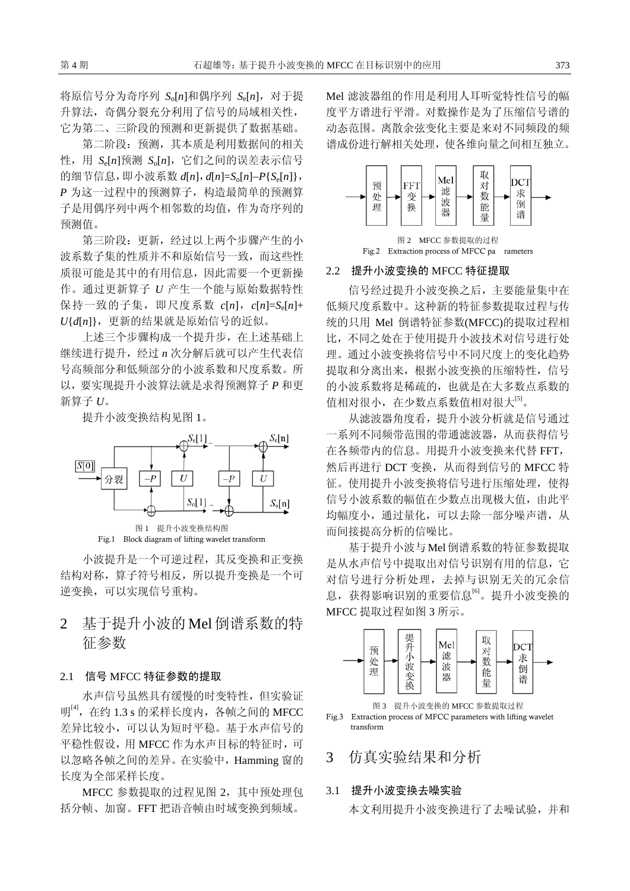将原信号分为奇序列  $S_0[n]$ 和偶序列  $S_0[n]$ , 对于提 升算法,奇偶分裂充分利用了信号的局域相关性, 它为第二、三阶段的预测和更新提供了数据基础。

第二阶段:预测,其本质是利用数据间的相关 性, 用  $S_c[n]$ 预测  $S_c[n]$ , 它们之间的误差表示信号 的细节信息,即小波系数 *d*[*n*],*d*[*n*]=*S*o[*n*]−*P*{*S*e[*n*]}, *P* 为这一过程中的预测算子,构造最简单的预测算 子是用偶序列中两个相邻数的均值,作为奇序列的 预测值。

第三阶段: 更新, 经讨以上两个步骤产生的小 波系数子集的性质并不和原始信号一致,而这些性 质很可能是其中的有用信息,因此需要一个更新操 作。通过更新算子 *U* 产生一个能与原始数据特性 保持一致的子集,即尺度系数 *c*[*n*],*c*[*n*]=*S*e[*n*]+ *U*{*d*[*n*]},更新的结果就是原始信号的近似。

上述三个步骤构成一个提升步,在上述基础上 继续进行提升,经过 *n* 次分解后就可以产生代表信 号高频部分和低频部分的小波系数和尺度系数。所 以,要实现提升小波算法就是求得预测算子 *P* 和更 新算子 *U*。

提升小波变换结构见图 1。





小波提升是一个可逆过程,其反变换和正变换 结构对称,算子符号相反,所以提升变换是一个可 逆变换,可以实现信号重构。

## 2 基于提升小波的 Mel 倒谱系数的特 征参数

#### 2.1 信号 MFCC 特征参数的提取

水声信号虽然具有缓慢的时变特性,但实验证 明 $[4]$ , 在约 1.3 s 的采样长度内, 各帧之间的 MFCC 差异比较小,可以认为短时平稳。基于水声信号的 平稳性假设,用 MFCC 作为水声目标的特征时,可 以忽略各帧之间的差异。在实验中,Hamming 窗的 长度为全部采样长度。

MFCC 参数提取的过程见图 2,其中预处理包 括分帧、加窗。FFT 把语音帧由时域变换到频域。

Mel 滤波器组的作用是利用人耳听觉特性信号的幅 度平方谱进行平滑。对数操作是为了压缩信号谱的 动态范围。离散余弦变化主要是来对不同频段的频 谱成份进行解相关处理,使各维向量之间相互独立。





#### 2.2 提升小波变换的 MFCC 特征提取

信号经过提升小波变换之后,主要能量集中在 低频尺度系数中。这种新的特征参数提取过程与传 统的只用 Mel 倒谱特征参数(MFCC)的提取过程相 比,不同之处在于使用提升小波技术对信号进行处 理。通过小波变换将信号中不同尺度上的变化趋势 提取和分离出来,根据小波变换的压缩特性,信号 的小波系数将是稀疏的,也就是在大多数点系数的 值相对很小, 在少数点系数值相对很大<sup>[5]</sup>。

从滤波器角度看,提升小波分析就是信号通过 一系列不同频带范围的带通滤波器,从而获得信号 在各频带内的信息。用提升小波变换来代替 FFT, 然后再进行 DCT 变换, 从而得到信号的 MFCC 特 征。使用提升小波变换将信号进行压缩处理,使得 信号小波系数的幅值在少数点出现极大值, 由此平 均幅度小,通过量化,可以去除一部分噪声谱,从 而间接提高分析的信噪比。

基于提升小波与Mel倒谱系数的特征参数提取 是从水声信号中提取出对信号识别有用的信息,它 对信号进行分析处理,去掉与识别无关的冗余信 息,获得影响识别的重要信息<sup>[6]</sup>。提升小波变换的 MFCC 提取过程如图 3 所示。



Fig.3 Extraction process of MFCC parameters with lifting wavelet transform

#### 3 仿真实验结果和分析

#### 3.1 提升小波变换去噪实验

本文利用提升小波变换进行了去噪试验,并和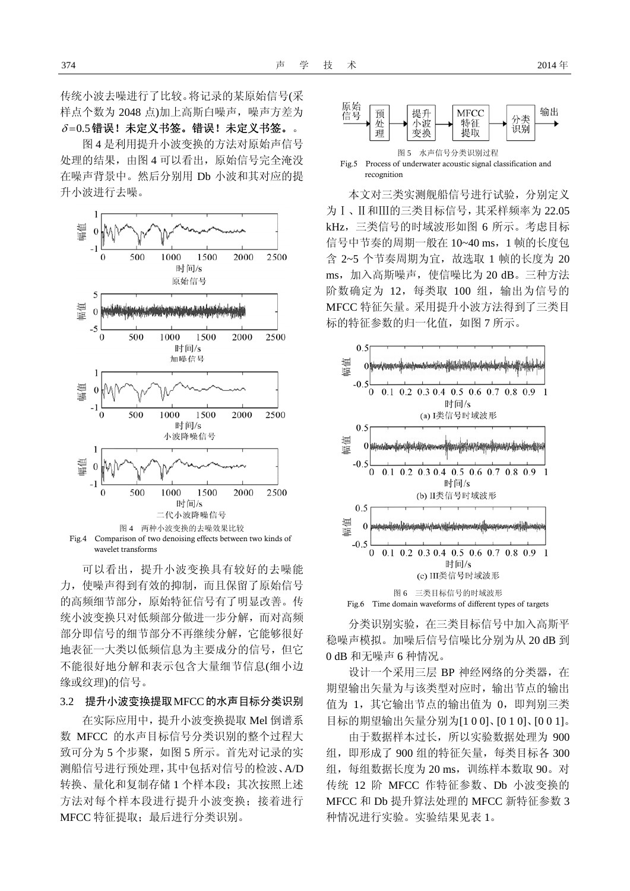传统小波去噪进行了比较。将记录的某原始信号(采 样点个数为 2048 点)加上高斯白噪声,噪声方差为  $\delta = 0.5$ 错误!未定义书签。错误!未定义书签。。

图 4 是利用提升小波变换的方法对原始声信号 处理的结果,由图 4 可以看出,原始信号完全淹没 在噪声背景中。然后分别用 Db 小波和其对应的提 升小波进行去噪。



可以看出,提升小波变换具有较好的去噪能 力,使噪声得到有效的抑制,而且保留了原始信号 的高频细节部分,原始特征信号有了明显改善。传 统小波变换只对低频部分做进一步分解,而对高频 部分即信号的细节部分不再继续分解,它能够很好 地表征一大类以低频信息为主要成分的信号,但它 不能很好地分解和表示包含大量细节信息(细小边 缘或纹理)的信号。

#### 3.2 提升小波变换提取MFCC的水声目标分类识别

在实际应用中,提升小波变换提取 Mel 倒谱系 数 MFCC 的水声目标信号分类识别的整个过程大 致可分为 5 个步聚, 如图 5 所示。首先对记录的实 测船信号进行预处理,其中包括对信号的检波、A/D 转换、量化和复制存储 1 个样本段;其次按照上述 方法对每个样本段进行提升小波变换;接着进行 MFCC 特征提取;最后进行分类识别。



本文对三类实测舰船信号进行试验,分别定义 为Ⅰ、Ⅱ和Ⅲ的三类目标信号,其采样频率为 22.05 kHz,三类信号的时域波形如图 6 所示。考虑目标 信号中节奏的周期一般在 10~40 ms, 1 帧的长度包 含 2~5 个节奏周期为宜,故选取 1 帧的长度为 20 ms,加入高斯噪声,使信噪比为 20 dB。三种方法 阶数确定为 12,每类取 100 组,输出为信号的 MFCC 特征矢量。采用提升小波方法得到了三类目 标的特征参数的归一化值,如图 7 所示。



分类识别实验,在三类目标信号中加入高斯平 稳噪声模拟。加噪后信号信噪比分别为从 20 dB 到 0 dB 和无噪声 6 种情况。

设计一个采用三层 BP 神经网络的分类器, 在 期望输出矢量为与该类型对应时,输出节点的输出 值为 1,其它输出节点的输出值为 0,即判别三类 目标的期望输出矢量分别为[1 0 0]、[0 1 0]、[0 0 1]。

由于数据样本过长,所以实验数据处理为 900 组,即形成了 900 组的特征矢量,每类目标各 300 组, 每组数据长度为 20 ms, 训练样本数取 90。对 传统 12 阶 MFCC 作特征参数、Db 小波变换的 MFCC 和 Db 提升算法处理的 MFCC 新特征参数 3 种情况进行实验。实验结果见表 1。